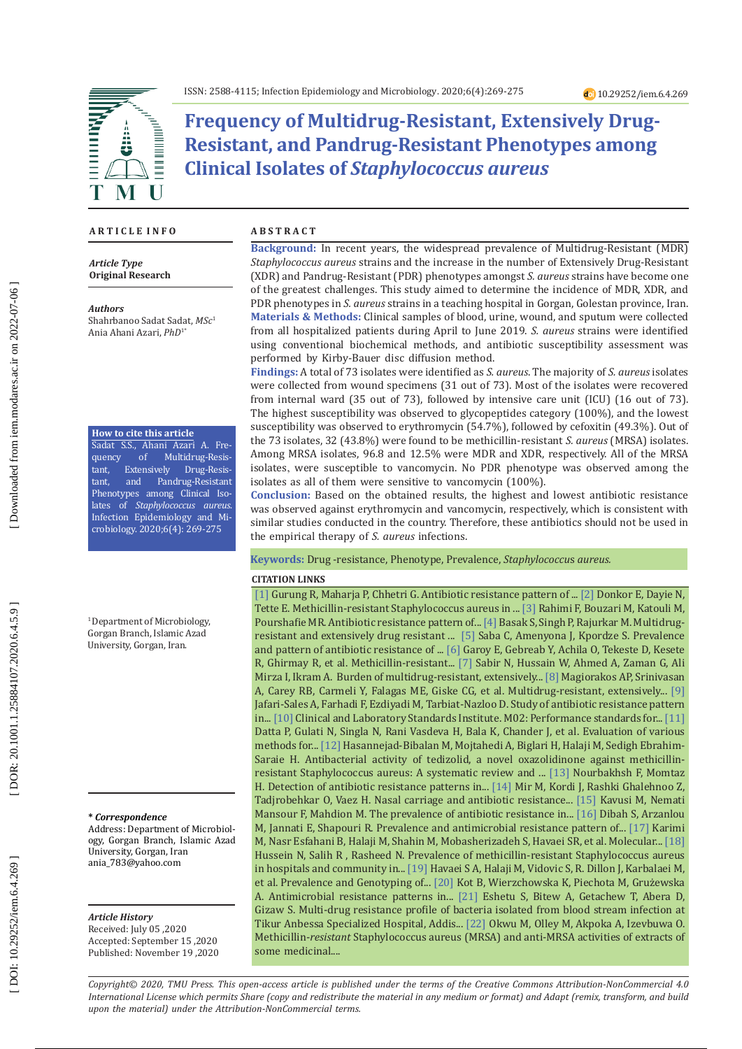

**Frequency of Multidrug-Resistant, Extensively Drug-Resistant, and Pandrug-Resistant Phenotypes among Clinical Isolates of** *Staphylococcus aureus*

## **A R T I C L E I N F O**

*Article Type* **Original Research**

#### *Authors*

Shahrbanoo Sadat Sadat, *MSc* 1 Ania Ahani Azari, *PhD*1\*

### **How to cite this article**

Sadat S.S., Ahani Azari A. Fre quency of Multidrug-Resis tant, Extensively<br>tant, and Pano Drug-Resis Pandrug-Resistant Phenotypes among Clinical Iso lates of *Staphylococcus aureus*. Infection Epidemiology and Mi crobiology. 2020;6(4): 269-275

<sup>1</sup> Department of Microbiology, Gorgan Branch, Islamic Azad University, Gorgan, Iran.

### **\*** *Correspondence*

Address: Department of Microbiol ogy, Gorgan Branch, Islamic Azad University, Gorgan, Iran ania\_783@yahoo.com

#### *Article History*

Received: July 05 ,2020 Accepted: September 15 ,2020 Published: November 19 ,2020

### **A B S T R A C T**

**Background:** In recent years, the widespread prevalence of Multidrug-Resistant (MDR) *Staphylococcus aureus* strains and the increase in the number of Extensively Drug-Resistant (XDR) and Pandrug-Resistant (PDR) phenotypes amongst *S. aureus* strains have become one of the greatest challenges. This study aimed to determine the incidence of MDR, XDR, and PDR phenotypes in *S. aureus* strains in a teaching hospital in Gorgan, Golestan province, Iran. **Materials & Methods:** Clinical samples of blood, urine, wound, and sputum were collected from all hospitalized patients during April to June 2019. *S. aureus* strains were identified using conventional biochemical methods, and antibiotic susceptibility assessment was performed by Kirby-Bauer disc diffusion method.

**Findings:** A total of 73 isolates were identified as *S. aureus*. The majority of *S. aureus* isolates were collected from wound specimens (31 out of 73). Most of the isolates were recovered from internal ward (35 out of 73), followed by intensive care unit (ICU) (16 out of 73). The highest susceptibility was observed to glycopeptides category (100%), and the lowest susceptibility was observed to erythromycin (54.7%), followed by cefoxitin (49.3%). Out of the 73 isolates, 32 (43.8%) were found to be methicillin-resistant *S. aureus* (MRSA) isolates. Among MRSA isolates, 96.8 and 12.5% were MDR and XDR, respectively. All of the MRSA isolates , were susceptible to vancomycin. No PDR phenotype was observed among the isolates as all of them were sensitive to vancomycin (100%).

**Conclusion:** Based on the obtained results, the highest and lowest antibiotic resistance was observed against erythromycin and vancomycin, respectively, which is consistent with similar studies conducted in the country. Therefore, these antibiotics should not be used in the empirical therapy of *S. aureus* infections.

## **Keywords:** Drug -resistance, Phenotype, Prevalence, *Staphylococcu* s *aureus.*

#### **CITATION LINKS**

Tette E. Methicillin-resistant Staphylococcus aureus in ... [\[3\]](https://www.sid.ir/en/Journal/ViewPaper.aspx?ID=290719) Rahimi F, Bouzari M, Katouli M, [\[1\]](https://www.google.com/url?sa=t&rct=j&q=&esrc=s&source=web&cd=&cad=rja&uact=8&ved=2ahUKEwjStJu2vMPtAhUMHHcKHU2WAUUQFjAAegQIAxAC&url=https%3A%2F%2Fwww.ncbi.nlm.nih.gov%2Fpmc%2Farticles%2FPMC7117559%2F&usg=AOvVaw16zbpBTM8vAq3TKPl0H9Qn) Gurung R, Maharja P, Chhetri G. Antibiotic resistance pattern of ... [\[2\]](https://www.google.com/url?sa=t&rct=j&q=&esrc=s&source=web&cd=&cad=rja&uact=8&ved=2ahUKEwiG6bPpvMPtAhUfBhAIHaMDBf4QFjAAegQIARAC&url=https%3A%2F%2Fpubmed.ncbi.nlm.nih.gov%2F30625025%2F&usg=AOvVaw2gc9117hBd11TVaHIDDaCh) Donkor E, Dayie N, Pourshafie MR. Antibiotic resistance pattern of... [\[4\]](https://www.hindawi.com/journals/jpath/2016/4065603/abs/) Basak S, Singh P, Rajurkar M. Multidrugresistant and extensively drug resistant ... [\[5\]](https://aricjournal.biomedcentral.com/articles/10.1186/s13756-017-0203-2?utm_source=TrendMD&utm_medium=cpc&utm_campaign=Antimicrob_Resist_Infect_Control_TrendMD_0) Saba C, Amenyona J, Kpordze S. Prevalence and pattern of antibiotic resistance of ... [\[6\]](https://www.hindawi.com/journals/cjidmm/2019/8321834/abs/) Garoy E, Gebreab Y, Achila O, Tekeste D, Kesete R, Ghirmay R, et al. Methicillin-resistant... [\[7\]](https://www.google.com/url?sa=t&rct=j&q=&esrc=s&source=web&cd=&cad=rja&uact=8&ved=2ahUKEwim8aj8vsPtAhUsAhAIHX8pDagQFjAAegQIAhAC&url=https%3A%2F%2Fwww.pafmj.org%2Findex.php%2FPAFMJ%2Farticle%2Fview%2F3939&usg=AOvVaw0Cs4K_ov54sPyTegwBVIBB) Sabir N, Hussain W, Ahmed A, Zaman G, Ali Mirza I, Ikram A. Burden of multidrug-resistant, extensively... [\[8\]](https://www.sciencedirect.com/science/article/pii/S1198743X14616323) Magiorakos AP, Srinivasan A, Carey RB, Carmeli Y, Falagas ME, Giske CG, et al. Multidrug-resistant, extensively... [\[9\]](http://www.ijbmph.com/&url=http://www.ijbmph.com/article_61059.html)  Jafari-Sales A, Farhadi F, Ezdiyadi M, Tarbiat-Nazloo D. Study of antibiotic resistance pattern in... [\[10\]](https://www.google.com/url?sa=t&rct=j&q=&esrc=s&source=web&cd=&cad=rja&uact=8&ved=2ahUKEwijtsWSwMPtAhXEwosKHUSfDygQFjAAegQIAhAC&url=https%3A%2F%2Fclsi.org%2Fmedia%2F1925%2Fm02ed13_sample.pdf&usg=AOvVaw2DPl3G5pyCTpMlZ6PwR1P4) Clinical and Laboratory Standards Institute. M02: Performance standards for... [\[11\]](https://www.microbiologyresearch.org/content/journal/jmm/10.1099/jmm.0.032219-0)  Datta P, Gulati N, Singla N, Rani Vasdeva H, Bala K, Chander J, et al. Evaluation of various methods for... [\[12\]](https://www.liebertpub.com/doi/abs/10.1089/mdr.2018.0457) Hasannejad-Bibalan M, Mojtahedi A, Biglari H, Halaji M, Sedigh Ebrahim-Saraie H. Antibacterial activity of tedizolid, a novel oxazolidinone against methicillinresistant Staphylococcus aureus: A systematic review and ... [\[13\]](https://pdfs.semanticscholar.org/24c7/ce6d380c870dbc046eb3e8cad7f0f04a8d73.pdf) Nourbakhsh F, Momtaz H. Detection of antibiotic resistance patterns in... [\[14\]](https://www.researchgate.net/profile/Zahra_Ghalehnoo/publication/335368468_Nasal_Carriage_and_Antibiotic_Resistance_Pattern_of_Methicillin-Resistant_Staphylococcus_aureus_Isolates_From_Clinical_Staffs_of_a_Referral_Hospital_Zabol_Iran/links/5d6034cc458515\
d6102065fe/Nasal-Carriage-and-Antibiotic-Resistance-Pattern-of-Methicillin-Resistant-Staphylococcus-aureus-Isolates-From-Clinical-Staffs-of-a-Referral-Hospital-Zabol-Iran.pdf) Mir M, Kordi J, Rashki Ghalehnoo Z, Tadjrobehkar O, Vaez H. Nasal carriage and antibiotic resistance... [\[15\]](https://www.google.com/url?sa=t&rct=j&q=&esrc=s&source=web&cd=&cad=rja&uact=8&ved=2ahUKEwiZ8qr1wsPtAhWHmIsKHRtXDHUQFjAAegQIAhAC&url=https%3A%2F%2Fwww.researchgate.net%2Fpublication%2F333985567_The_Prevalence_of_Antibiotic_Resistance_in_Methicillin-Resista\
nt_Staphylococcus_aureus_and_the_Determination_of_Aminoglycoside_Resistance_Gene_aac6-Ieaph_2_Isolated_from_Hospitalized_Patientsin_Imam_H&usg=AOvVaw1VNuq0uyI3ny-8KPc_GR1m) Kavusi M, Nemati Mansour F, Mahdion M. The prevalence of antibiotic resistance in... [\[16\]](https://www.ncbi.nlm.nih.gov/pmc/articles/PMC4393492/) Dibah S, Arzanlou M, Jannati E, Shapouri R. Prevalence and antimicrobial resistance pattern of... [\[17\]](http://www.infezmed.it/media/journal/Vol_25_3_2017_5.pdf) Karimi M, Nasr Esfahani B, Halaji M, Shahin M, Mobasherizadeh S, Havaei SR, et al. Molecular... [\[18\]](https://sites.kowsarpub.com/iji/articles/89636.html)  Hussein N, Salih R , Rasheed N. Prevalence of methicillin-resistant Staphylococcus aureus in hospitals and community in... [\[19\]](https://www.researchgate.net/profile/Mehrdad_Halaji/publication/317020855_Prevalence_and_Genotyping_of_Methicillin-Resistant_and_-_Susceptible_Staphylococcus_aureus_Strains_Isolated_from_Patients_in_a_University_Hospital_Isfahan_Iran/links/5974c107458515e\
26d09c7db/Prevalence-and-Genotyping-of-Methicillin-Resistant-and-Susceptible-Staphylococcus-aureus-Strains-Isolated-from-Patients-in-a-University-Hospital-Isfahan-Iran.pdf) Havaei S A, Halaji M, Vidovic S, R. Dillon J, Karbalaei M, et al. Prevalence and Genotyping of... [\[20\]](https://www.ncbi.nlm.nih.gov/pmc/articles/PMC7024858/) Kot B, Wierzchowska K, Piechota M, Grużewska A. Antimicrobial resistance patterns in... [\[21\]](https://www.google.com/url?sa=t&rct=j&q=&esrc=s&source=web&cd=&cad=rja&uact=8&ved=2ahUKEwio_K6-xcPtAhXowosKHZJgCpIQFjAAegQIAxAC&url=https%3A%2F%2Fwww.ecronicon.com%2Fecmi%2Fpdf%2FECMI-14-00456.pdf&usg=AOvVaw3qei_NDxd11bfKwMb9WXOt) Eshetu S, Bitew A, Getachew T, Abera D, Gizaw S. Multi-drug resistance profile of bacteria isolated from blood stream infection at Tikur Anbessa Specialized Hospital, Addis... [\[22\]](https://www.ncbi.nlm.nih.gov/pmc/articles/PMC6642907/) Okwu M, Olley M, Akpoka A, Izevbuwa O. Methicillin-*resistant* Staphylococcus aureus (MRSA) and anti-MRSA activities of extracts of some medicinal....

*Copyright© 2020, TMU Press. This open-access article is published under the terms of the Creative Commons Attribution-NonCommercial 4.0 International License which permits Share (copy and redistribute the material in any medium or format) and Adapt (remix, transform, and build upon the material) under the Attribution-NonCommercial terms.*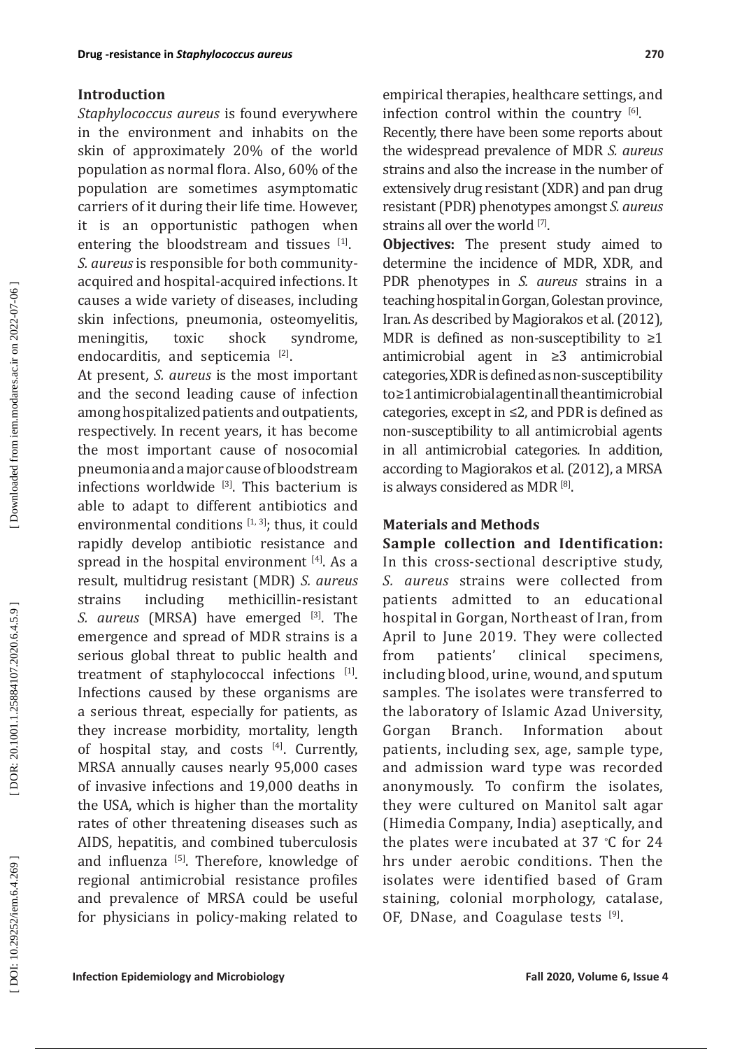## **Introduction**

*Staphylococcus aureus* is found everywhere in the environment and inhabits on the skin of approximately 20% of the world population as normal flora. Also , 60% of the population are sometimes asymptomatic carriers of it during their life time. However, it is an opportunistic pathogen when entering the bloodstream and tissues  $[1]$ . *S. aureus* is responsible for both communityacquired and hospital-acquired infections. It causes a wide variety of diseases, including skin infections, pneumonia, osteomyelitis,<br>meningitis, toxic shock syndrome, meningitis, endocarditis, and septicemia [2].

At present, *S. aureus* is the most important and the second leading cause of infection among hospitalized patients and outpatients, respectively. In recent years, it has become the most important cause of nosocomial pneumonia and a major cause of bloodstream infections worldwide [3]. This bacterium is able to adapt to different antibiotics and environmental conditions  $[1, 3]$ ; thus, it could rapidly develop antibiotic resistance and spread in the hospital environment [4]. As a result, multidrug resistant (MDR) *S. aureus*  strains including methicillin-resistant *S. aureus* (MRSA) have emerged <sup>[3]</sup>. The emergence and spread of MDR strains is a serious global threat to public health and treatment of staphylococcal infections [1]. Infections caused by these organisms are a serious threat, especially for patients, as they increase morbidity, mortality, length of hospital stay, and costs  $[4]$ . Currently, MRSA annually causes nearly 95,000 cases of invasive infections and 19,000 deaths in the USA, which is higher than the mortality rates of other threatening diseases such as AIDS, hepatitis, and combined tuberculosis and influenza [5]. Therefore, knowledge of regional antimicrobial resistance profiles and prevalence of MRSA could be useful for physicians in policy-making related to

empirical therapies, healthcare settings, and infection control within the country  $[6]$ .

Recently, there have been some reports about the widespread prevalence of MDR *S. aureus* strains and also the increase in the number of extensively drug resistant (XDR) and pan drug resistant (PDR) phenotypes amongst *S. aureus* strains all over the world [7].

**Objectives:** The present study aimed to determine the incidence of MDR, XDR, and PDR phenotypes in *S. aureus* strains in a teaching hospital in Gorgan, Golestan province, Iran. As described by Magiorakos et al. (2012), MDR is defined as non-susceptibility to  $\geq 1$ antimicrobial agent in ≥3 antimicrobial categories, XDR is defined as non-susceptibility to ≥1 antimicrobial agent in all the antimicrobial categories, except in ≤2, and PDR is defined as non-susceptibility to all antimicrobial agents in all antimicrobial categories. In addition, according to Magiorakos et al. (2012), a MRSA is always considered as MDR [8].

## **Materials and Methods**

**Sample collection and Identification:** In this cross-sectional descriptive study, *S. aureus* strains were collected from patients admitted to an educational hospital in Gorgan, Northeast of Iran, from April to June 2019. They were collected<br>from patients' clinical specimens. from patients' clinical specimens, including blood, urine, wound, and sputum samples. The isolates were transferred to the laboratory of Islamic Azad University, Information patients, including sex, age, sample type, and admission ward type was recorded anonymously. To confirm the isolates, they were cultured on Manitol salt agar (Himedia Company, India) aseptically, and the plates were incubated at 37 ∘ C for 24 hrs under aerobic conditions. Then the isolates were identified based of Gram staining, colonial morphology, catalase, OF, DNase, and Coagulase tests [9].

DOI: 10.29252/iem.6.4.269

DOR: 20.1001.1.25884107.2020.6.4.5.9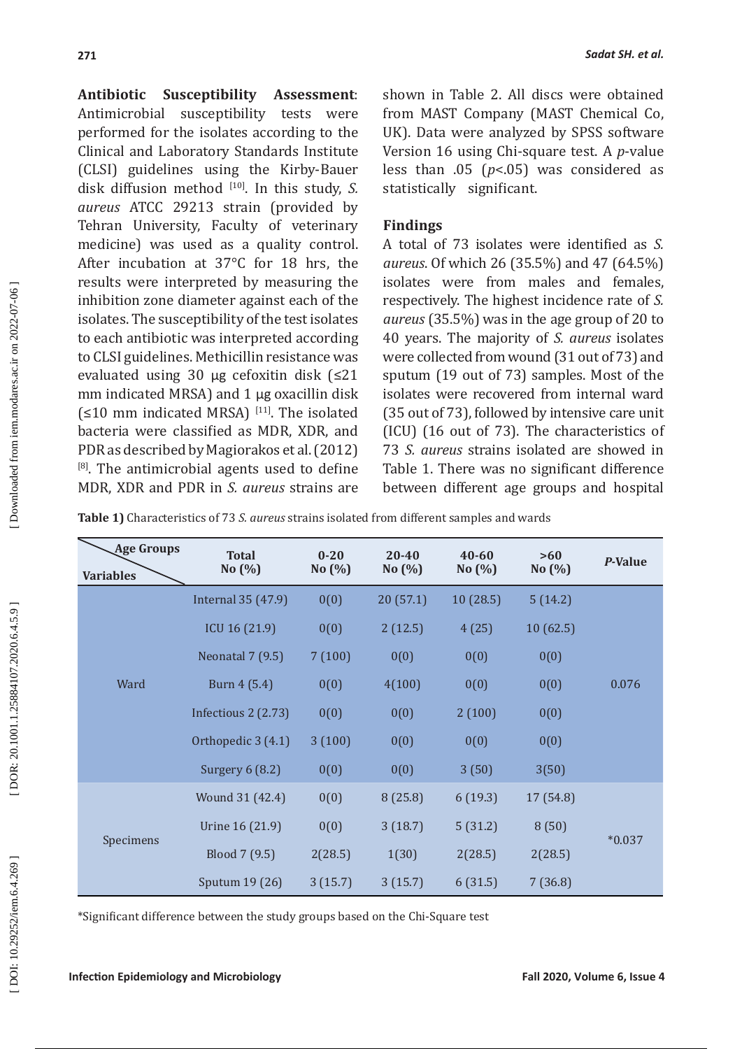**Antibiotic Susceptibility Assessment**: Antimicrobial susceptibility tests were performed for the isolates according to the Clinical and Laboratory Standards Institute (CLSI) guidelines using the Kirby-Bauer disk diffusion method [10]. In this study, *S. aureus* ATCC 29213 strain (provided by Tehran University, Faculty of veterinary medicine) was used as a quality control. After incubation at 37°C for 18 hrs, the results were interpreted by measuring the inhibition zone diameter against each of the isolates. The susceptibility of the test isolates to each antibiotic was interpreted according to CLSI guidelines. Methicillin resistance was evaluated using 30 μg cefoxitin disk (≤21 mm indicated MRSA) and 1 μg oxacillin disk  $(≤10$  mm indicated MRSA)<sup>[11]</sup>. The isolated bacteria were classified as MDR, XDR, and PDR as described by Magiorakos et al. (2012) <sup>[8]</sup>. The antimicrobial agents used to define MDR, XDR and PDR in *S. aureus* strains are shown in Table 2. All discs were obtained from MAST Company (MAST Chemical Co, UK). Data were analyzed by SPSS software Version 16 using Chi-square test. A *p*-value less than .05 ( *p*<.05) was considered as statistically significant.

# **Findings**

A total of 73 isolates were identified as *S. aureus*. Of which 26 (35.5%) and 47 (64.5%) isolates were from males and females, respectively. The highest incidence rate of *S. aureus* (35.5%) was in the age group of 20 to 40 years. The majority of *S. aureus* isolates were collected from wound (31 out of 73) and sputum (19 out of 73) samples. Most of the isolates were recovered from internal ward (35 out of 73), followed by intensive care unit (ICU) (16 out of 73). The characteristics of 73 *S. aureus* strains isolated are showed in Table 1. There was no significant difference between different age groups and hospital

**Table 1)** Characteristics of 73 *S. aureus* strains isolated from different samples and wards

| <b>Age Groups</b><br><b>Variables</b> | <b>Total</b><br>No $(\%)$ | $0 - 20$<br>No(%) | $20 - 40$<br>No(%) | 40-60<br>No(%) | >60<br>No(%) | P-Value  |  |
|---------------------------------------|---------------------------|-------------------|--------------------|----------------|--------------|----------|--|
| Ward                                  | Internal 35 (47.9)        | 0(0)              | 20(57.1)           | 10(28.5)       | 5(14.2)      |          |  |
|                                       | ICU 16 (21.9)             | 0(0)              | 2(12.5)            | 4(25)          | 10(62.5)     |          |  |
|                                       | <b>Neonatal 7 (9.5)</b>   | 7(100)            | 0(0)               | 0(0)           | 0(0)         |          |  |
|                                       | Burn 4 (5.4)              | 0(0)              | 4(100)             | 0(0)           | 0(0)         | 0.076    |  |
|                                       | Infectious 2 (2.73)       | 0(0)              | 0(0)               | 2(100)         | 0(0)         |          |  |
|                                       | Orthopedic 3 (4.1)        | 3(100)            | 0(0)               | 0(0)           | 0(0)         |          |  |
|                                       | Surgery $6(8.2)$          | 0(0)              | 0(0)               | 3(50)          | 3(50)        |          |  |
| Specimens                             | Wound 31 (42.4)           | 0(0)              | 8(25.8)            | 6(19.3)        | 17 (54.8)    | $*0.037$ |  |
|                                       | Urine 16 (21.9)           | 0(0)              | 3(18.7)            | 5(31.2)        | 8(50)        |          |  |
|                                       | Blood 7 (9.5)             | 2(28.5)           | 1(30)              | 2(28.5)        | 2(28.5)      |          |  |
|                                       | Sputum 19 (26)            | 3(15.7)           | 3(15.7)            | 6(31.5)        | 7(36.8)      |          |  |

\*Significant difference between the study groups based on the Chi-Square test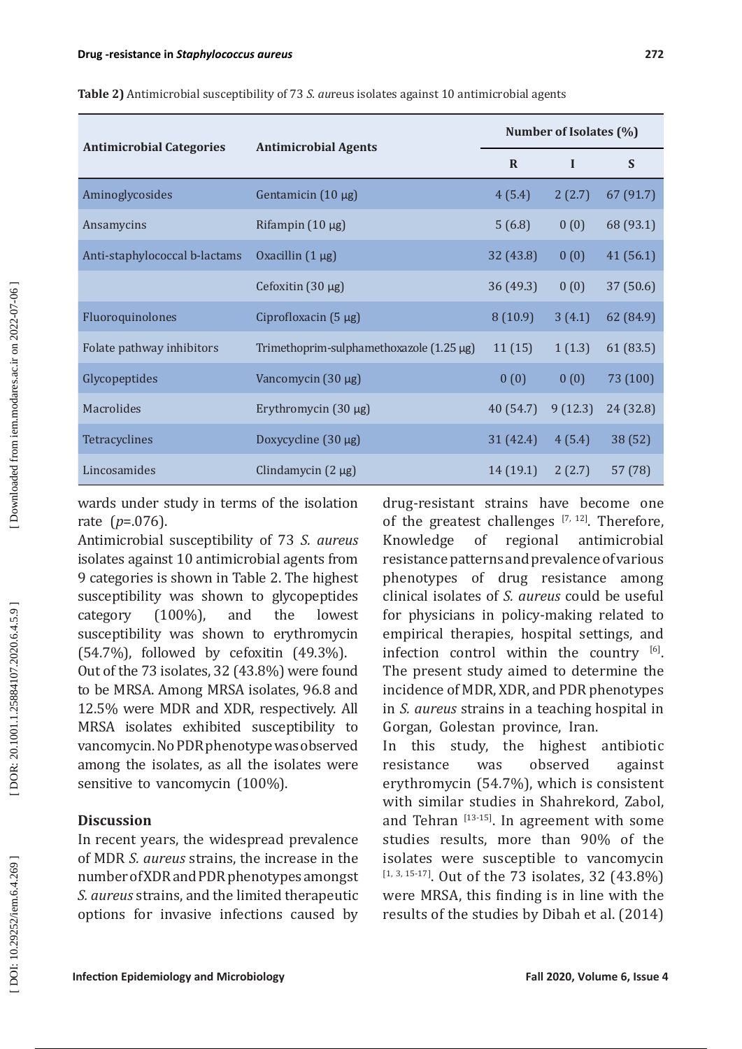| <b>Antimicrobial Categories</b> | <b>Antimicrobial Agents</b>              | Number of Isolates (%) |             |           |  |
|---------------------------------|------------------------------------------|------------------------|-------------|-----------|--|
|                                 |                                          | $\mathbf{R}$           | $\mathbf I$ | S         |  |
| Aminoglycosides                 | Gentamicin $(10 \mu g)$                  | 4(5.4)                 | 2(2.7)      | 67 (91.7) |  |
| Ansamycins                      | Rifampin $(10 \mu g)$                    | 5(6.8)                 | 0(0)        | 68 (93.1) |  |
| Anti-staphylococcal b-lactams   | Oxacillin $(1 \mu g)$                    | 32(43.8)               | 0(0)        | 41(56.1)  |  |
|                                 | Cefoxitin $(30 \mu g)$                   | 36(49.3)               | 0(0)        | 37(50.6)  |  |
| Fluoroquinolones                | Ciprofloxacin $(5 \mu g)$                | 8(10.9)                | 3(4.1)      | 62 (84.9) |  |
| Folate pathway inhibitors       | Trimethoprim-sulphamethoxazole (1.25 µg) | 11(15)                 | 1(1.3)      | 61(83.5)  |  |
| Glycopeptides                   | Vancomycin $(30 \mu g)$                  | 0(0)                   | 0(0)        | 73 (100)  |  |
| Macrolides                      | Erythromycin $(30 \mu g)$                | 40(54.7)               | 9(12.3)     | 24 (32.8) |  |
| Tetracyclines                   | Doxycycline $(30 \mu g)$                 | 31(42.4)               | 4(5.4)      | 38 (52)   |  |
| Lincosamides                    | Clindamycin $(2 \mu g)$                  | 14(19.1)               | 2(2.7)      | 57(78)    |  |

**Table 2)** Antimicrobial susceptibility of 73 *S. au*reus isolates against 10 antimicrobial agents

wards under study in terms of the isolation rate ( *p*=.076).

Antimicrobial susceptibility of 73 *S. aureus* isolates against 10 antimicrobial agents from 9 categories is shown in Table 2. The highest susceptibility was shown to glycopeptides category (100%), and the lowest susceptibility was shown to erythromycin (54.7%), followed by cefoxitin (49.3%). Out of the 73 isolates, 32 (43.8%) were found to be MRSA. Among MRSA isolates, 96.8 and 12.5% were MDR and XDR, respectively. All MRSA isolates exhibited susceptibility to vancomycin. No PDR phenotype was observed among the isolates, as all the isolates were sensitive to vancomycin (100%).

# **Discussion**

In recent years, the widespread prevalence of MDR *S. aureus* strains, the increase in the number of XDR and PDR phenotypes amongst *S. aureus* strains, and the limited therapeutic options for invasive infections caused by

drug-resistant strains have become one of the greatest challenges  $[7, 12]$ . Therefore, Knowledge of regional antimicrobial resistance patterns and prevalence of various phenotypes of drug resistance among clinical isolates of *S. aureus* could be useful for physicians in policy-making related to empirical therapies, hospital settings, and infection control within the country  $[6]$ . The present study aimed to determine the incidence of MDR, XDR, and PDR phenotypes in *S. aureus* strains in a teaching hospital in Gorgan, Golestan province, Iran.

In this study, the highest antibiotic resistance was observed against erythromycin (54.7%), which is consistent with similar studies in Shahrekord, Zabol, and Tehran  $[13-15]$ . In agreement with some studies results, more than 90% of the isolates were susceptible to vancomycin  $[1, 3, 15-17]$ . Out of the 73 isolates, 32 (43.8%) were MRSA, this finding is in line with the results of the studies by Dibah et al. (2014)

Downloaded from iem.modares.ac.ir on 2022-07-06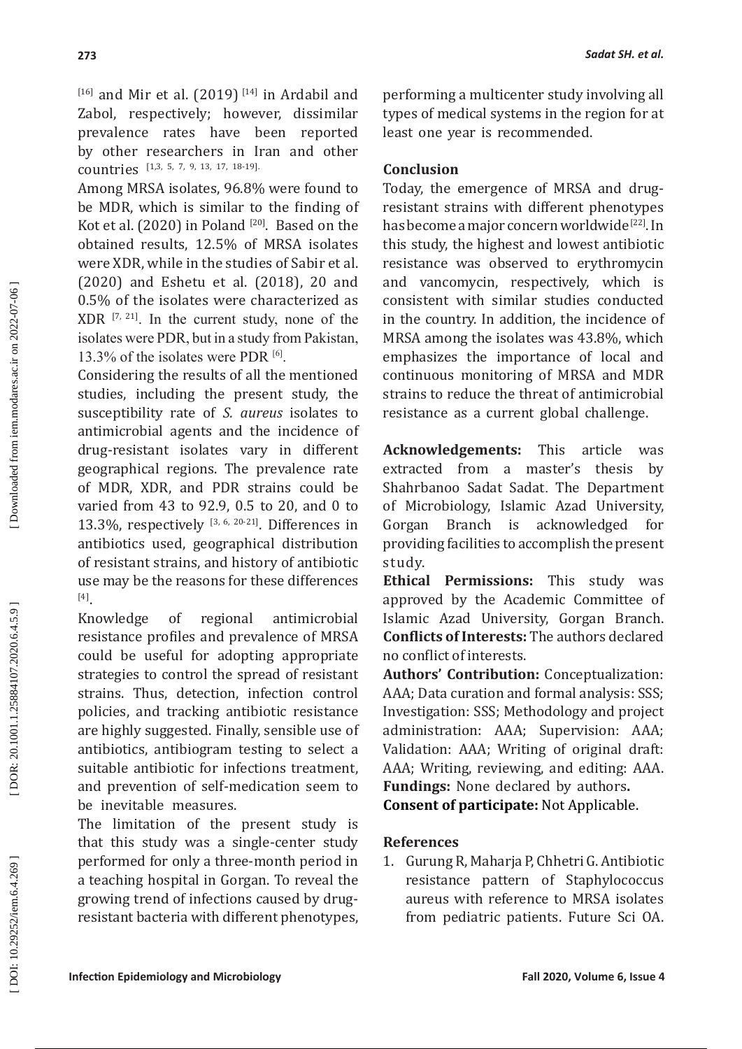$[16]$  and Mir et al. (2019)<sup>[14]</sup> in Ardabil and Zabol, respectively; however, dissimilar prevalence rates have been reported by other researchers in Iran and other countries [1,3, 5, 7, 9, 13, 17, 18-19].

Among MRSA isolates, 96.8% were found to be MDR, which is similar to the finding of Kot et al.  $(2020)$  in Poland  $[20]$ . Based on the obtained results, 12.5% of MRSA isolates were XDR, while in the studies of Sabir et al. (2020) and Eshetu et al. (2018), 20 and 0.5% of the isolates were characterized as  $XDR$ <sup>[7, 21]</sup>. In the current study, none of the isolates were PDR, but in a study from Pakistan, 13.3% of the isolates were PDR [6].

Considering the results of all the mentioned studies, including the present study, the susceptibility rate of *S. aureus* isolates to antimicrobial agents and the incidence of drug-resistant isolates vary in different geographical regions. The prevalence rate of MDR, XDR, and PDR strains could be varied from 43 to 92.9, 0.5 to 20, and 0 to 13.3%, respectively [3, 6, 20-21]. Differences in antibiotics used, geographical distribution of resistant strains, and history of antibiotic use may be the reasons for these differences [4].

Knowledge of regional antimicrobial resistance profiles and prevalence of MRSA could be useful for adopting appropriate strategies to control the spread of resistant strains. Thus, detection, infection control policies, and tracking antibiotic resistance are highly suggested. Finally, sensible use of antibiotics, antibiogram testing to select a suitable antibiotic for infections treatment, and prevention of self-medication seem to be inevitable measures.

The limitation of the present study is that this study was a single-center study performed for only a three-month period in a teaching hospital in Gorgan. To reveal the growing trend of infections caused by drugresistant bacteria with different phenotypes, performing a multicenter study involving all types of medical systems in the region for at least one year is recommended.

# **Conclusion**

Today, the emergence of MRSA and drugresistant strains with different phenotypes has become a major concern worldwide [22]. In this study, the highest and lowest antibiotic resistance was observed to erythromycin and vancomycin, respectively, which is consistent with similar studies conducted in the country. In addition, the incidence of MRSA among the isolates was 43.8%, which emphasizes the importance of local and continuous monitoring of MRSA and MDR strains to reduce the threat of antimicrobial resistance as a current global challenge.

**Acknowledgements:** This article was extracted from a master's thesis by Shahrbanoo Sadat Sadat . The Department of Microbiology, Islamic Azad University, Branch is acknowledged for providing facilities to accomplish the present study.

**Ethical Permissions:** This study was approved by the Academic Committee of Islamic Azad University, Gorgan Branch. **Conflicts of Interests:** The authors declared no conflict of interests.

**Authors' Contribution:** Conceptualization: AAA; Data curation and formal analysis: SSS; Investigation: SSS; Methodology and project administration: AAA; Supervision: AAA; Validation: AAA; Writing of original draft: AAA; Writing, reviewing, and editing: AAA. **Fundings:** None declared by authors **.**

**Consent of participate:** Not Applicable.

## **References**

1. Gurung R, Maharja P, Chhetri G. Antibiotic resistance pattern of Staphylococcus aureus with reference to MRSA isolates from pediatric patients. Future Sci OA.

DOI: 10.29252/iem.6.4.269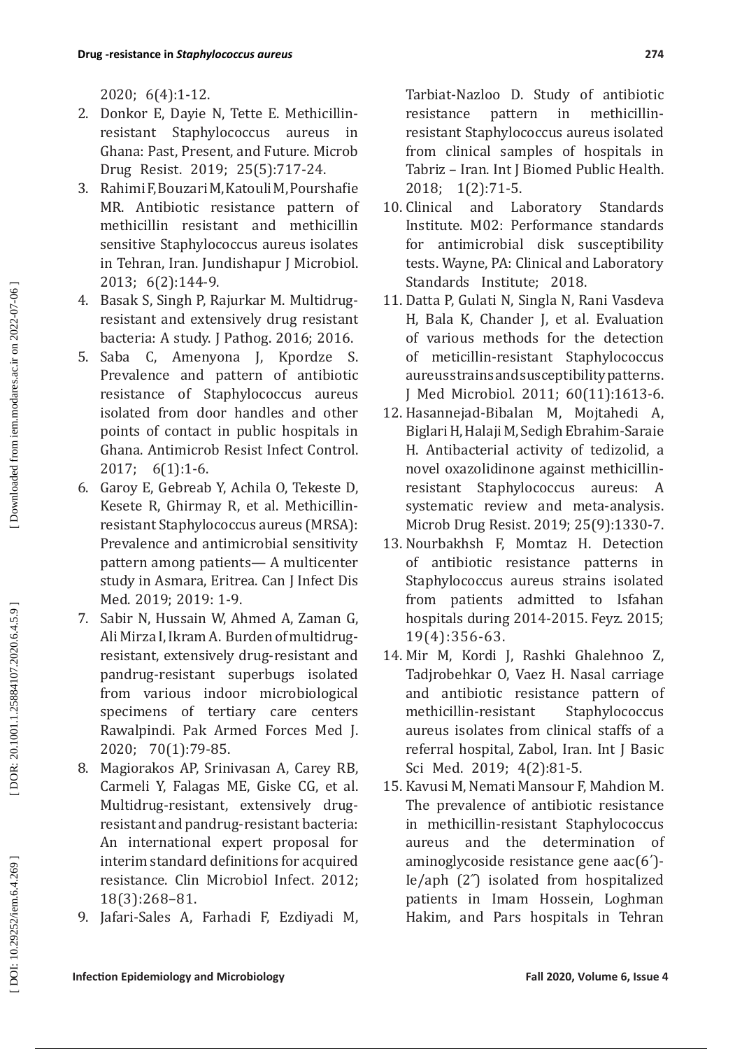2020; 6(4):1-12.

- 2. Donkor E, Dayie N, Tette E. Methicillinresistant Staphylococcus aureus in Ghana: Past, Present, and Future. Microb Drug Resist. 2019; 25(5):717-24.
- 3. Rahimi F, Bouzari M, Katouli M, Pourshafie MR. Antibiotic resistance pattern of methicillin resistant and methicillin sensitive Staphylococcus aureus isolates in Tehran, Iran. Jundishapur J Microbiol. 2013; 6(2):144-9.
- 4. Basak S, Singh P, Rajurkar M. Multidrugresistant and extensively drug resistant bacteria: A study. J Pathog. 2016; 2016.
- 5. Saba C, Amenyona J, Kpordze S. Prevalence and pattern of antibiotic resistance of Staphylococcus aureus isolated from door handles and other points of contact in public hospitals in Ghana. Antimicrob Resist Infect Control. 2017; 6(1):1-6.
- 6. Garoy E, Gebreab Y, Achila O, Tekeste D, Kesete R, Ghirmay R, et al. Methicillinresistant Staphylococcus aureus (MRSA): Prevalence and antimicrobial sensitivity pattern among patients— A multicenter study in Asmara, Eritrea. Can J Infect Dis Med. 2019; 2019: 1-9.
- 7. Sabir N, Hussain W, Ahmed A, Zaman G, Ali Mirza I, Ikram A. Burden of multidrugresistant, extensively drug-resistant and pandrug-resistant superbugs isolated from various indoor microbiological specimens of tertiary care centers Rawalpindi. Pak Armed Forces Med J. 2020; 70(1):79-85.
- 8. Magiorakos AP, Srinivasan A, Carey RB, Carmeli Y, Falagas ME, Giske CG, et al. Multidrug-resistant, extensively drugresistant and pandrug-resistant bacteria: An international expert proposal for interim standard definitions for acquired resistance. Clin Microbiol Infect. 2012; 18(3):268–81.
- 9. Jafari-Sales A, Farhadi F, Ezdiyadi M,

Tarbiat-Nazloo D. Study of antibiotic resistance pattern in methicillinresistant Staphylococcus aureus isolated from clinical samples of hospitals in Tabriz – Iran. Int J Biomed Public Health. 2018; 1(2):71-5.

- 10. Clinical and Laboratory Standards Institute. M02: Performance standards for antimicrobial disk susceptibility tests. Wayne, PA: Clinical and Laboratory Standards Institute; 2018.
- 11. Datta P, Gulati N, Singla N, Rani Vasdeva H, Bala K, Chander J, et al. Evaluation of various methods for the detection of meticillin-resistant Staphylococcus aureus strains and susceptibility patterns. J Med Microbiol. 2011; 60(11):1613-6.
- 12. Hasannejad-Bibalan M, Mojtahedi A, Biglari H, Halaji M, Sedigh Ebrahim-Saraie H. Antibacterial activity of tedizolid, a novel oxazolidinone against methicillinresistant Staphylococcus aureus: A systematic review and meta-analysis. Microb Drug Resist. 2019; 25(9):1330-7.
- 13. Nourbakhsh F, Momtaz H. Detection of antibiotic resistance patterns in Staphylococcus aureus strains isolated from patients admitted to Isfahan hospitals during 2014-2015. Feyz. 2015; 19(4):356-63.
- 14. Mir M, Kordi J, Rashki Ghalehnoo Z, Tadjrobehkar O, Vaez H. Nasal carriage and antibiotic resistance pattern of methicillin-resistant Staphylococcus aureus isolates from clinical staffs of a referral hospital, Zabol, Iran. Int J Basic Sci Med. 2019; 4(2):81-5.
- 15. Kavusi M, Nemati Mansour F, Mahdion M. The prevalence of antibiotic resistance in methicillin-resistant Staphylococcus aureus and the determination of aminoglycoside resistance gene aac(6΄)- Ie/aph (2˝) isolated from hospitalized patients in Imam Hossein, Loghman Hakim, and Pars hospitals in Tehran

DOI: 10.29252/iem.6.4.269